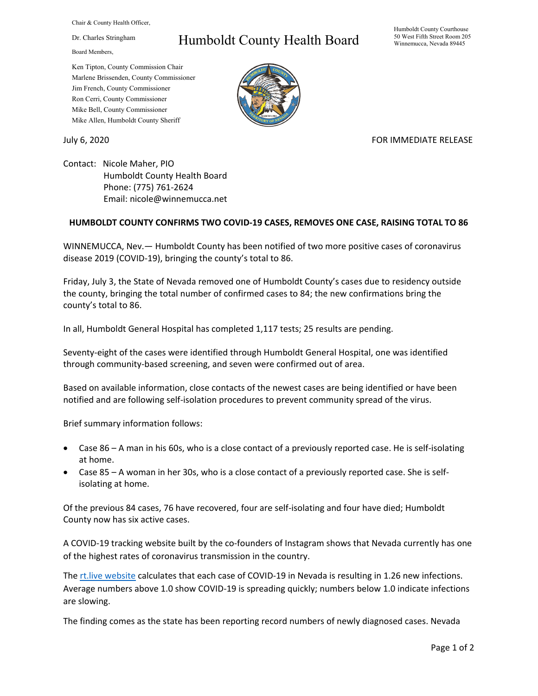Chair & County Health Officer,

Dr. Charles Stringham

Board Members,

## Humboldt County Health Board

Humboldt County Courthouse 50 West Fifth Street Room 205 Winnemucca, Nevada 89445

Ken Tipton, County Commission Chair Marlene Brissenden, County Commissioner Jim French, County Commissioner Ron Cerri, County Commissioner Mike Bell, County Commissioner Mike Allen, Humboldt County Sheriff

July 6, 2020 **FOR IMMEDIATE RELEASE** 

Contact: Nicole Maher, PIO Humboldt County Health Board Phone: (775) 761-2624 Email: nicole@winnemucca.net

## **HUMBOLDT COUNTY CONFIRMS TWO COVID-19 CASES, REMOVES ONE CASE, RAISING TOTAL TO 86**

WINNEMUCCA, Nev.— Humboldt County has been notified of two more positive cases of coronavirus disease 2019 (COVID-19), bringing the county's total to 86.

Friday, July 3, the State of Nevada removed one of Humboldt County's cases due to residency outside the county, bringing the total number of confirmed cases to 84; the new confirmations bring the county's total to 86.

In all, Humboldt General Hospital has completed 1,117 tests; 25 results are pending.

Seventy-eight of the cases were identified through Humboldt General Hospital, one was identified through community-based screening, and seven were confirmed out of area.

Based on available information, close contacts of the newest cases are being identified or have been notified and are following self-isolation procedures to prevent community spread of the virus.

Brief summary information follows:

- Case 86 A man in his 60s, who is a close contact of a previously reported case. He is self-isolating at home.
- Case 85 A woman in her 30s, who is a close contact of a previously reported case. She is selfisolating at home.

Of the previous 84 cases, 76 have recovered, four are self-isolating and four have died; Humboldt County now has six active cases.

A COVID-19 tracking website built by the co-founders of Instagram shows that Nevada currently has one of the highest rates of coronavirus transmission in the country.

The [rt.live website](https://rt.live/) calculates that each case of COVID-19 in Nevada is resulting in 1.26 new infections. Average numbers above 1.0 show COVID-19 is spreading quickly; numbers below 1.0 indicate infections are slowing.

The finding comes as the state has been reporting record numbers of newly diagnosed cases. Nevada